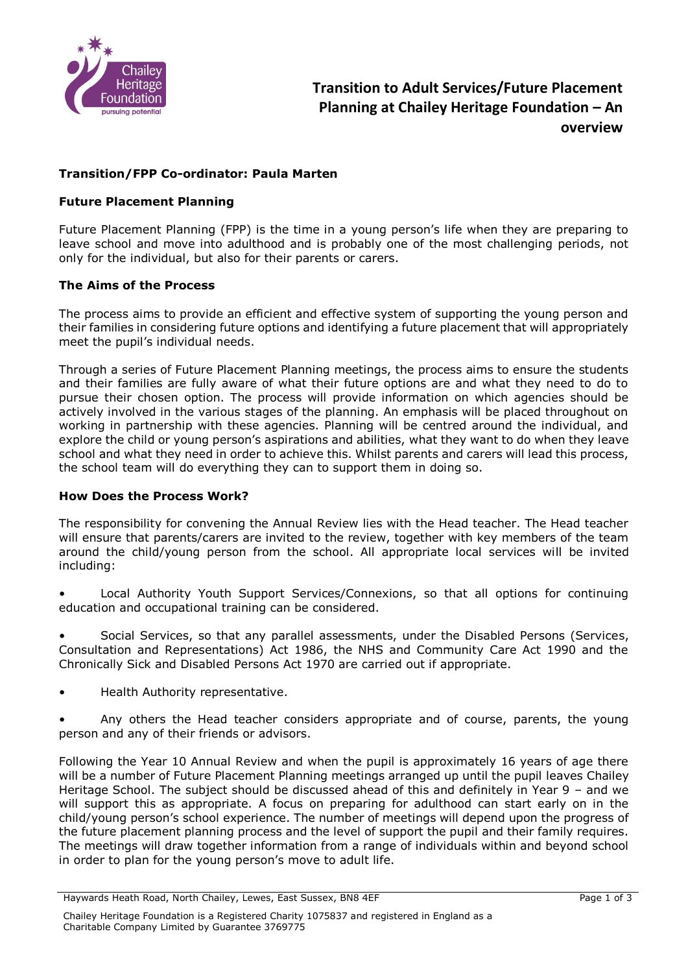

# **Transition/FPP Co-ordinator: Paula Marten**

## **Future Placement Planning**

Future Placement Planning (FPP) is the time in a young person's life when they are preparing to leave school and move into adulthood and is probably one of the most challenging periods, not only for the individual, but also for their parents or carers.

#### **The Aims of the Process**

The process aims to provide an efficient and effective system of supporting the young person and their families in considering future options and identifying a future placement that will appropriately meet the pupil's individual needs.

Through a series of Future Placement Planning meetings, the process aims to ensure the students and their families are fully aware of what their future options are and what they need to do to pursue their chosen option. The process will provide information on which agencies should be actively involved in the various stages of the planning. An emphasis will be placed throughout on working in partnership with these agencies. Planning will be centred around the individual, and explore the child or young person's aspirations and abilities, what they want to do when they leave school and what they need in order to achieve this. Whilst parents and carers will lead this process, the school team will do everything they can to support them in doing so.

#### **How Does the Process Work?**

The responsibility for convening the Annual Review lies with the Head teacher. The Head teacher will ensure that parents/carers are invited to the review, together with key members of the team around the child/young person from the school. All appropriate local services will be invited including:

• Local Authority Youth Support Services/Connexions, so that all options for continuing education and occupational training can be considered.

• Social Services, so that any parallel assessments, under the Disabled Persons (Services, Consultation and Representations) Act 1986, the NHS and Community Care Act 1990 and the Chronically Sick and Disabled Persons Act 1970 are carried out if appropriate.

• Health Authority representative.

• Any others the Head teacher considers appropriate and of course, parents, the young person and any of their friends or advisors.

Following the Year 10 Annual Review and when the pupil is approximately 16 years of age there will be a number of Future Placement Planning meetings arranged up until the pupil leaves Chailey Heritage School. The subject should be discussed ahead of this and definitely in Year 9 – and we will support this as appropriate. A focus on preparing for adulthood can start early on in the child/young person's school experience. The number of meetings will depend upon the progress of the future placement planning process and the level of support the pupil and their family requires. The meetings will draw together information from a range of individuals within and beyond school in order to plan for the young person's move to adult life.

Haywards Heath Road, North Chailey, Lewes, East Sussex, BN8 4EF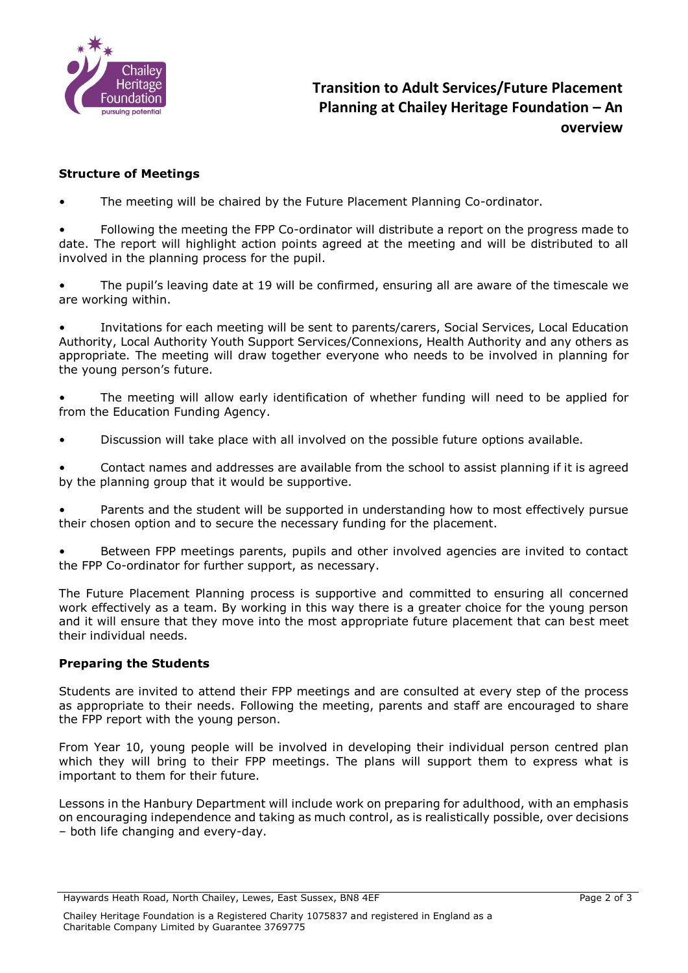

## **Structure of Meetings**

The meeting will be chaired by the Future Placement Planning Co-ordinator.

• Following the meeting the FPP Co-ordinator will distribute a report on the progress made to date. The report will highlight action points agreed at the meeting and will be distributed to all involved in the planning process for the pupil.

The pupil's leaving date at 19 will be confirmed, ensuring all are aware of the timescale we are working within.

• Invitations for each meeting will be sent to parents/carers, Social Services, Local Education Authority, Local Authority Youth Support Services/Connexions, Health Authority and any others as appropriate. The meeting will draw together everyone who needs to be involved in planning for the young person's future.

The meeting will allow early identification of whether funding will need to be applied for from the Education Funding Agency.

• Discussion will take place with all involved on the possible future options available.

• Contact names and addresses are available from the school to assist planning if it is agreed by the planning group that it would be supportive.

• Parents and the student will be supported in understanding how to most effectively pursue their chosen option and to secure the necessary funding for the placement.

• Between FPP meetings parents, pupils and other involved agencies are invited to contact the FPP Co-ordinator for further support, as necessary.

The Future Placement Planning process is supportive and committed to ensuring all concerned work effectively as a team. By working in this way there is a greater choice for the young person and it will ensure that they move into the most appropriate future placement that can best meet their individual needs.

#### **Preparing the Students**

Students are invited to attend their FPP meetings and are consulted at every step of the process as appropriate to their needs. Following the meeting, parents and staff are encouraged to share the FPP report with the young person.

From Year 10, young people will be involved in developing their individual person centred plan which they will bring to their FPP meetings. The plans will support them to express what is important to them for their future.

Lessons in the Hanbury Department will include work on preparing for adulthood, with an emphasis on encouraging independence and taking as much control, as is realistically possible, over decisions – both life changing and every-day.

Haywards Heath Road, North Chailey, Lewes, East Sussex, BN8 4EF